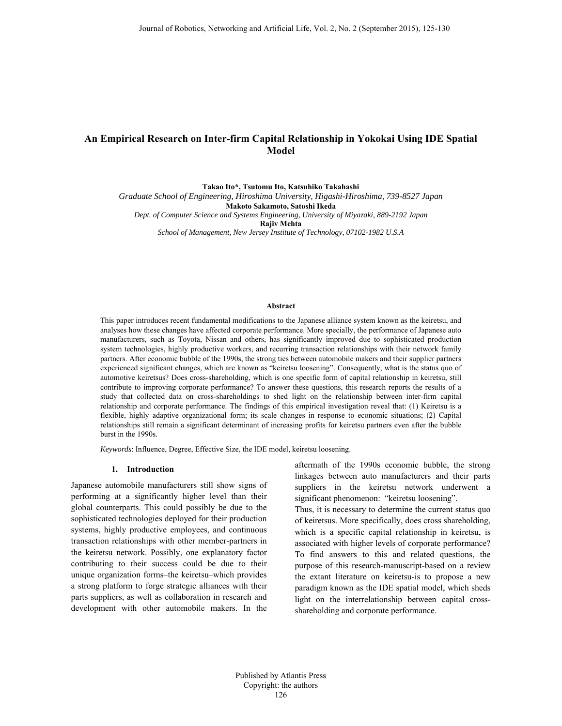## **An Empirical Research on Inter-firm Capital Relationship in Yokokai Using IDE Spatial Model**

**Takao Ito\*, Tsutomu Ito, Katsuhiko Takahashi** 

*Graduate School of Engineering, Hiroshima University, Higashi-Hiroshima, 739-8527 Japan*  **Makoto Sakamoto, Satoshi Ikeda**  *Dept. of Computer Science and Systems Engineering, University of Miyazaki, 889-2192 Japan*  **Rajiv Mehta** 

*School of Management, New Jersey Institute of Technology, 07102-1982 U.S.A* 

## **Abstract**

This paper introduces recent fundamental modifications to the Japanese alliance system known as the keiretsu, and analyses how these changes have affected corporate performance. More specially, the performance of Japanese auto manufacturers, such as Toyota, Nissan and others, has significantly improved due to sophisticated production system technologies, highly productive workers, and recurring transaction relationships with their network family partners. After economic bubble of the 1990s, the strong ties between automobile makers and their supplier partners experienced significant changes, which are known as "keiretsu loosening". Consequently, what is the status quo of automotive keiretsus? Does cross-shareholding, which is one specific form of capital relationship in keiretsu, still contribute to improving corporate performance? To answer these questions, this research reports the results of a study that collected data on cross-shareholdings to shed light on the relationship between inter-firm capital relationship and corporate performance. The findings of this empirical investigation reveal that: (1) Keiretsu is a flexible, highly adaptive organizational form; its scale changes in response to economic situations; (2) Capital relationships still remain a significant determinant of increasing profits for keiretsu partners even after the bubble burst in the 1990s.

*Keywords*: Influence, Degree, Effective Size, the IDE model, keiretsu loosening.

## **1. Introduction**

Japanese automobile manufacturers still show signs of performing at a significantly higher level than their global counterparts. This could possibly be due to the sophisticated technologies deployed for their production systems, highly productive employees, and continuous transaction relationships with other member-partners in the keiretsu network. Possibly, one explanatory factor contributing to their success could be due to their unique organization forms–the keiretsu–which provides a strong platform to forge strategic alliances with their parts suppliers, as well as collaboration in research and development with other automobile makers. In the aftermath of the 1990s economic bubble, the strong linkages between auto manufacturers and their parts suppliers in the keiretsu network underwent a significant phenomenon: "keiretsu loosening".

Thus, it is necessary to determine the current status quo of keiretsus. More specifically, does cross shareholding, which is a specific capital relationship in keiretsu, is associated with higher levels of corporate performance? To find answers to this and related questions, the purpose of this research-manuscript-based on a review the extant literature on keiretsu-is to propose a new paradigm known as the IDE spatial model, which sheds light on the interrelationship between capital crossshareholding and corporate performance.